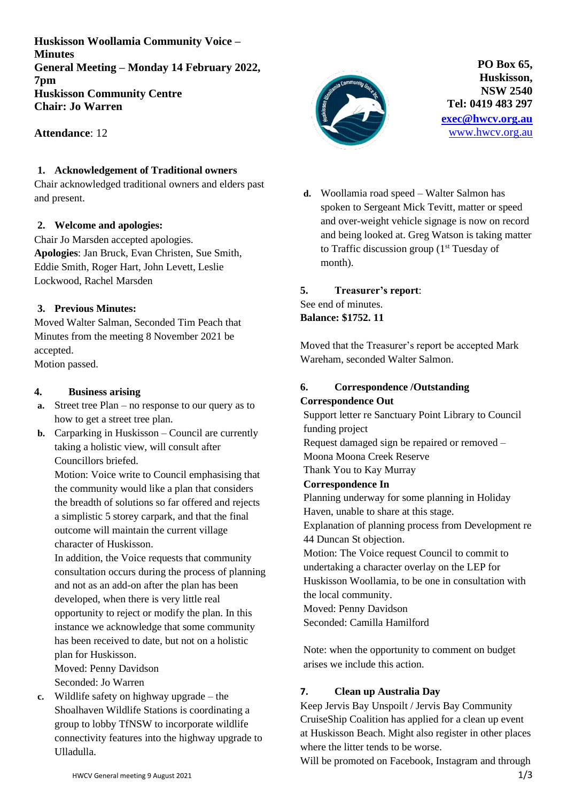**Huskisson Woollamia Community Voice – Minutes General Meeting – Monday 14 February 2022, 7pm Huskisson Community Centre Chair: Jo Warren**

**Attendance**: 12

#### **1. Acknowledgement of Traditional owners**

Chair acknowledged traditional owners and elders past and present.

#### **2. Welcome and apologies:**

Chair Jo Marsden accepted apologies. **Apologies**: Jan Bruck, Evan Christen, Sue Smith, Eddie Smith, Roger Hart, John Levett, Leslie Lockwood, Rachel Marsden

#### **3. Previous Minutes:**

Moved Walter Salman, Seconded Tim Peach that Minutes from the meeting 8 November 2021 be accepted.

Motion passed.

## **4. Business arising**

- **a.** Street tree Plan no response to our query as to how to get a street tree plan.
- **b.** Carparking in Huskisson Council are currently taking a holistic view, will consult after Councillors briefed.

Motion: Voice write to Council emphasising that the community would like a plan that considers the breadth of solutions so far offered and rejects a simplistic 5 storey carpark, and that the final outcome will maintain the current village character of Huskisson.

In addition, the Voice requests that community consultation occurs during the process of planning and not as an add-on after the plan has been developed, when there is very little real opportunity to reject or modify the plan. In this instance we acknowledge that some community has been received to date, but not on a holistic plan for Huskisson.

Moved: Penny Davidson

Seconded: Jo Warren

**c.** Wildlife safety on highway upgrade – the Shoalhaven Wildlife Stations is coordinating a group to lobby TfNSW to incorporate wildlife connectivity features into the highway upgrade to Ulladulla.



**PO Box 65, Huskisson, NSW 2540 Tel: 0419 483 297 [exec@hwcv.org.au](mailto:exec@hwcv.org.au)** [www.hwcv.org.au](http://www.hwcv.org.au/)

**d.** Woollamia road speed – Walter Salmon has spoken to Sergeant Mick Tevitt, matter or speed and over-weight vehicle signage is now on record and being looked at. Greg Watson is taking matter to Traffic discussion group (1st Tuesday of month).

#### **5. Treasurer's report**: See end of minutes.

**Balance: \$1752. 11**

Moved that the Treasurer's report be accepted Mark Wareham, seconded Walter Salmon.

## **6. Correspondence /Outstanding Correspondence Out**

Support letter re Sanctuary Point Library to Council funding project Request damaged sign be repaired or removed –

Moona Moona Creek Reserve

Thank You to Kay Murray

## **Correspondence In**

Planning underway for some planning in Holiday Haven, unable to share at this stage. Explanation of planning process from Development re 44 Duncan St objection. Motion: The Voice request Council to commit to undertaking a character overlay on the LEP for Huskisson Woollamia, to be one in consultation with the local community. Moved: Penny Davidson

Seconded: Camilla Hamilford

Note: when the opportunity to comment on budget arises we include this action.

## **7. Clean up Australia Day**

Keep Jervis Bay Unspoilt / Jervis Bay Community CruiseShip Coalition has applied for a clean up event at Huskisson Beach. Might also register in other places where the litter tends to be worse.

Will be promoted on Facebook, Instagram and through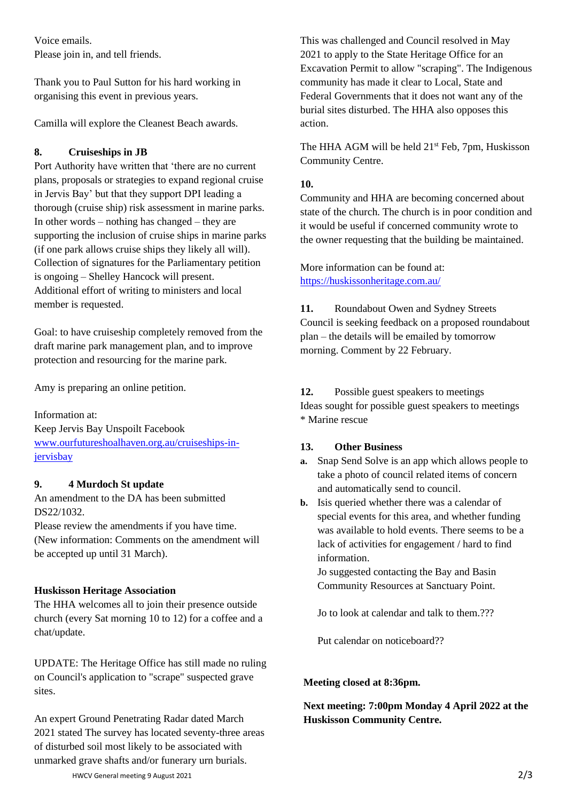Voice emails. Please join in, and tell friends.

Thank you to Paul Sutton for his hard working in organising this event in previous years.

Camilla will explore the Cleanest Beach awards.

#### **8. Cruiseships in JB**

Port Authority have written that 'there are no current plans, proposals or strategies to expand regional cruise in Jervis Bay' but that they support DPI leading a thorough (cruise ship) risk assessment in marine parks. In other words – nothing has changed – they are supporting the inclusion of cruise ships in marine parks (if one park allows cruise ships they likely all will). Collection of signatures for the Parliamentary petition is ongoing – Shelley Hancock will present. Additional effort of writing to ministers and local member is requested.

Goal: to have cruiseship completely removed from the draft marine park management plan, and to improve protection and resourcing for the marine park.

Amy is preparing an online petition.

Information at: Keep Jervis Bay Unspoilt Facebook [www.ourfutureshoalhaven.org.au/cruiseships-in](http://www.ourfutureshoalhaven.org.au/cruiseships-in-jervisbay)[jervisbay](http://www.ourfutureshoalhaven.org.au/cruiseships-in-jervisbay)

## **9. 4 Murdoch St update**

An amendment to the DA has been submitted DS22/1032.

Please review the amendments if you have time. (New information: Comments on the amendment will be accepted up until 31 March).

## **Huskisson Heritage Association**

The HHA welcomes all to join their presence outside church (every Sat morning 10 to 12) for a coffee and a chat/update.

UPDATE: The Heritage Office has still made no ruling on Council's application to "scrape" suspected grave sites.

An expert Ground Penetrating Radar dated March 2021 stated The survey has located seventy-three areas of disturbed soil most likely to be associated with unmarked grave shafts and/or funerary urn burials.

This was challenged and Council resolved in May 2021 to apply to the State Heritage Office for an Excavation Permit to allow "scraping". The Indigenous community has made it clear to Local, State and Federal Governments that it does not want any of the burial sites disturbed. The HHA also opposes this action.

The HHA AGM will be held  $21<sup>st</sup>$  Feb, 7pm, Huskisson Community Centre.

## **10.**

Community and HHA are becoming concerned about state of the church. The church is in poor condition and it would be useful if concerned community wrote to the owner requesting that the building be maintained.

More information can be found at: <https://huskissonheritage.com.au/>

**11.** Roundabout Owen and Sydney Streets Council is seeking feedback on a proposed roundabout plan – the details will be emailed by tomorrow morning. Comment by 22 February.

#### **12.** Possible guest speakers to meetings Ideas sought for possible guest speakers to meetings \* Marine rescue

## **13. Other Business**

- **a.** Snap Send Solve is an app which allows people to take a photo of council related items of concern and automatically send to council.
- **b.** Isis queried whether there was a calendar of special events for this area, and whether funding was available to hold events. There seems to be a lack of activities for engagement / hard to find information.

Jo suggested contacting the Bay and Basin Community Resources at Sanctuary Point.

Jo to look at calendar and talk to them.???

Put calendar on noticeboard??

#### **Meeting closed at 8:36pm.**

# **Next meeting: 7:00pm Monday 4 April 2022 at the Huskisson Community Centre.**